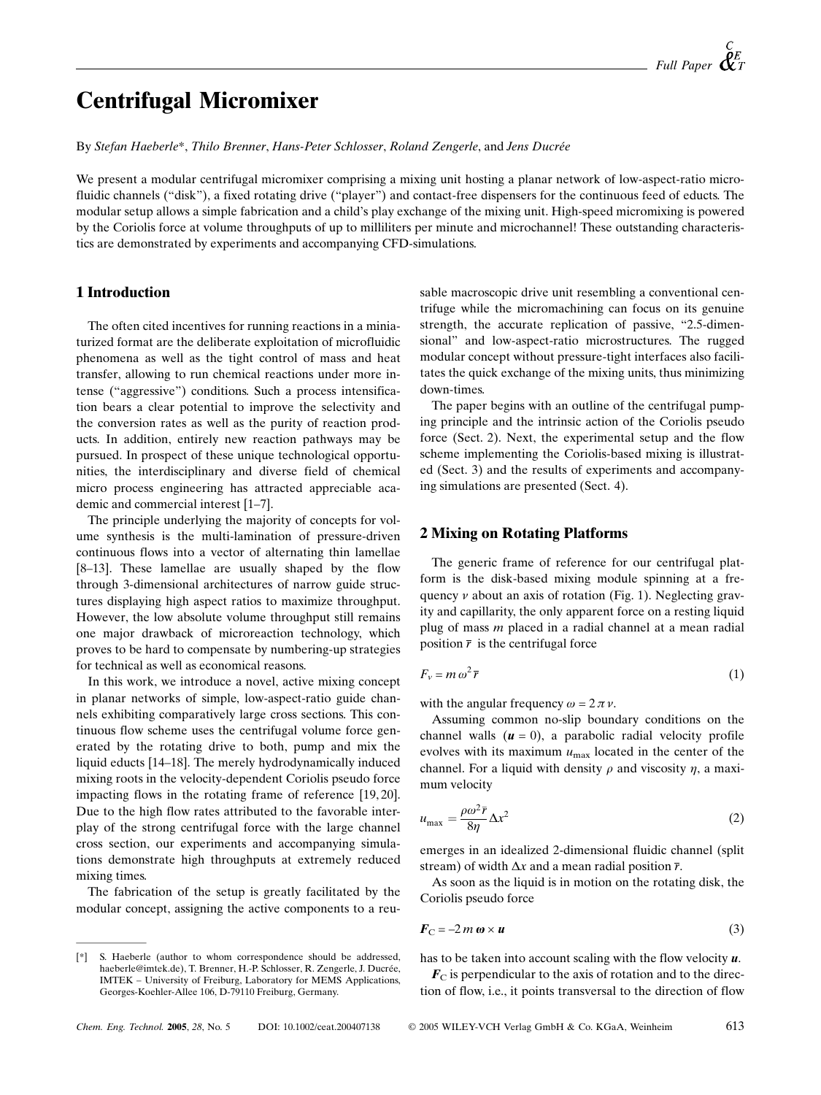# **Centrifugal Micromixer**

By Stefan Haeberle\*, Thilo Brenner, Hans-Peter Schlosser, Roland Zengerle, and Jens Ducrée

We present a modular centrifugal micromixer comprising a mixing unit hosting a planar network of low-aspect-ratio microfluidic channels ("disk"), a fixed rotating drive ("player") and contact-free dispensers for the continuous feed of educts. The modular setup allows a simple fabrication and a child's play exchange of the mixing unit. High-speed micromixing is powered by the Coriolis force at volume throughputs of up to milliliters per minute and microchannel! These outstanding characteristics are demonstrated by experiments and accompanying CFD-simulations.

# **1 Introduction**

The often cited incentives for running reactions in a miniaturized format are the deliberate exploitation of microfluidic phenomena as well as the tight control of mass and heat transfer, allowing to run chemical reactions under more intense ("aggressive") conditions. Such a process intensification bears a clear potential to improve the selectivity and the conversion rates as well as the purity of reaction products. In addition, entirely new reaction pathways may be pursued. In prospect of these unique technological opportunities, the interdisciplinary and diverse field of chemical micro process engineering has attracted appreciable academic and commercial interest [1-7].

The principle underlying the majority of concepts for volume synthesis is the multi-lamination of pressure-driven continuous flows into a vector of alternating thin lamellae [8-13]. These lamellae are usually shaped by the flow through 3-dimensional architectures of narrow guide structures displaying high aspect ratios to maximize throughput. However, the low absolute volume throughput still remains one major drawback of microreaction technology, which proves to be hard to compensate by numbering-up strategies for technical as well as economical reasons.

In this work, we introduce a novel, active mixing concept in planar networks of simple, low-aspect-ratio guide channels exhibiting comparatively large cross sections. This continuous flow scheme uses the centrifugal volume force generated by the rotating drive to both, pump and mix the liquid educts [14–18]. The merely hydrodynamically induced mixing roots in the velocity-dependent Coriolis pseudo force impacting flows in the rotating frame of reference [19, 20]. Due to the high flow rates attributed to the favorable interplay of the strong centrifugal force with the large channel cross section, our experiments and accompanying simulations demonstrate high throughputs at extremely reduced mixing times.

The fabrication of the setup is greatly facilitated by the modular concept, assigning the active components to a reu-

S. Haeberle (author to whom correspondence should be addressed,  $[!]$ haeberle@imtek.de), T. Brenner, H.-P. Schlosser, R. Zengerle, J. Ducrée, IMTEK - University of Freiburg, Laboratory for MEMS Applications, Georges-Koehler-Allee 106, D-79110 Freiburg, Germany.

sable macroscopic drive unit resembling a conventional centrifuge while the micromachining can focus on its genuine strength, the accurate replication of passive, "2.5-dimensional" and low-aspect-ratio microstructures. The rugged modular concept without pressure-tight interfaces also facilitates the quick exchange of the mixing units, thus minimizing down-times.

The paper begins with an outline of the centrifugal pumping principle and the intrinsic action of the Coriolis pseudo force (Sect. 2). Next, the experimental setup and the flow scheme implementing the Coriolis-based mixing is illustrated (Sect. 3) and the results of experiments and accompanying simulations are presented (Sect. 4).

# **2 Mixing on Rotating Platforms**

The generic frame of reference for our centrifugal platform is the disk-based mixing module spinning at a frequency  $\nu$  about an axis of rotation (Fig. 1). Neglecting gravity and capillarity, the only apparent force on a resting liquid plug of mass  $m$  placed in a radial channel at a mean radial position  $\bar{r}$  is the centrifugal force

$$
F_v = m \omega^2 \bar{r} \tag{1}
$$

with the angular frequency  $\omega = 2 \pi \nu$ .

Assuming common no-slip boundary conditions on the channel walls  $(u = 0)$ , a parabolic radial velocity profile evolves with its maximum  $u_{\text{max}}$  located in the center of the channel. For a liquid with density  $\rho$  and viscosity  $\eta$ , a maximum velocity

$$
u_{\text{max}} = \frac{\rho \omega^2 \bar{r}}{8\eta} \Delta x^2 \tag{2}
$$

emerges in an idealized 2-dimensional fluidic channel (split) stream) of width  $\Delta x$  and a mean radial position  $\overline{r}$ .

As soon as the liquid is in motion on the rotating disk, the Coriolis pseudo force

$$
\boldsymbol{F}_{\mathrm{C}} = -2\,m\,\boldsymbol{\omega} \times \boldsymbol{u} \tag{3}
$$

has to be taken into account scaling with the flow velocity  $\boldsymbol{u}$ .

 $\mathbf{F}_C$  is perpendicular to the axis of rotation and to the direction of flow, i.e., it points transversal to the direction of flow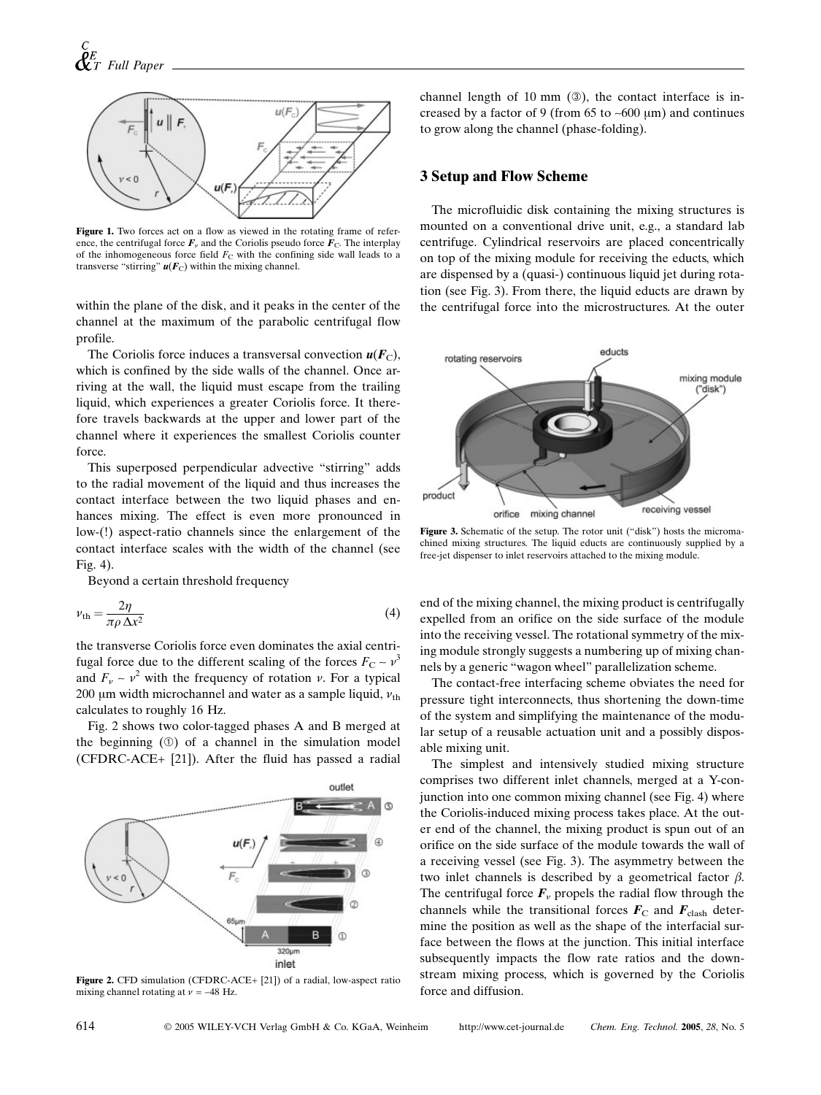

Figure 1. Two forces act on a flow as viewed in the rotating frame of reference, the centrifugal force  $\mathbf{F}_v$  and the Coriolis pseudo force  $\mathbf{F}_v$ . The interplay of the inhomogeneous force field  $F_C$  with the confining side wall leads to a transverse "stirring"  $u(F_C)$  within the mixing channel.

within the plane of the disk, and it peaks in the center of the channel at the maximum of the parabolic centrifugal flow profile.

The Coriolis force induces a transversal convection  $u(F_C)$ , which is confined by the side walls of the channel. Once arriving at the wall, the liquid must escape from the trailing liquid, which experiences a greater Coriolis force. It therefore travels backwards at the upper and lower part of the channel where it experiences the smallest Coriolis counter force.

This superposed perpendicular advective "stirring" adds to the radial movement of the liquid and thus increases the contact interface between the two liquid phases and enhances mixing. The effect is even more pronounced in low-(!) aspect-ratio channels since the enlargement of the contact interface scales with the width of the channel (see Fig.  $4$ ).

Beyond a certain threshold frequency

$$
v_{\rm th} = \frac{2\eta}{\pi \rho \,\Delta x^2} \tag{4}
$$

the transverse Coriolis force even dominates the axial centrifugal force due to the different scaling of the forces  $F_C \sim v^3$ and  $F_v \sim v^2$  with the frequency of rotation v. For a typical 200 um width microchannel and water as a sample liquid,  $v_{\text{th}}$ calculates to roughly 16 Hz.

Fig. 2 shows two color-tagged phases A and B merged at the beginning  $(0)$  of a channel in the simulation model (CFDRC-ACE+ [21]). After the fluid has passed a radial



Figure 2. CFD simulation (CFDRC-ACE+ [21]) of a radial, low-aspect ratio mixing channel rotating at  $\nu = -48$  Hz.

channel length of 10 mm  $(\circledcirc)$ , the contact interface is increased by a factor of 9 (from 65 to  $\sim$  600 um) and continues to grow along the channel (phase-folding).

#### **3 Setup and Flow Scheme**

The microfluidic disk containing the mixing structures is mounted on a conventional drive unit, e.g., a standard lab centrifuge. Cylindrical reservoirs are placed concentrically on top of the mixing module for receiving the educts, which are dispensed by a (quasi-) continuous liquid jet during rotation (see Fig. 3). From there, the liquid educts are drawn by the centrifugal force into the microstructures. At the outer



Figure 3. Schematic of the setup. The rotor unit ("disk") hosts the micromachined mixing structures. The liquid educts are continuously supplied by a free-jet dispenser to inlet reservoirs attached to the mixing module.

end of the mixing channel, the mixing product is centrifugally expelled from an orifice on the side surface of the module into the receiving vessel. The rotational symmetry of the mixing module strongly suggests a numbering up of mixing channels by a generic "wagon wheel" parallelization scheme.

The contact-free interfacing scheme obviates the need for pressure tight interconnects, thus shortening the down-time of the system and simplifying the maintenance of the modular setup of a reusable actuation unit and a possibly disposable mixing unit.

The simplest and intensively studied mixing structure comprises two different inlet channels, merged at a Y-conjunction into one common mixing channel (see Fig. 4) where the Coriolis-induced mixing process takes place. At the outer end of the channel, the mixing product is spun out of an orifice on the side surface of the module towards the wall of a receiving vessel (see Fig. 3). The asymmetry between the two inlet channels is described by a geometrical factor  $\beta$ . The centrifugal force  $\mathbf{F}_{\nu}$  propels the radial flow through the channels while the transitional forces  $\mathbf{F}_{\text{C}}$  and  $\mathbf{F}_{\text{clash}}$  determine the position as well as the shape of the interfacial surface between the flows at the junction. This initial interface subsequently impacts the flow rate ratios and the downstream mixing process, which is governed by the Coriolis force and diffusion.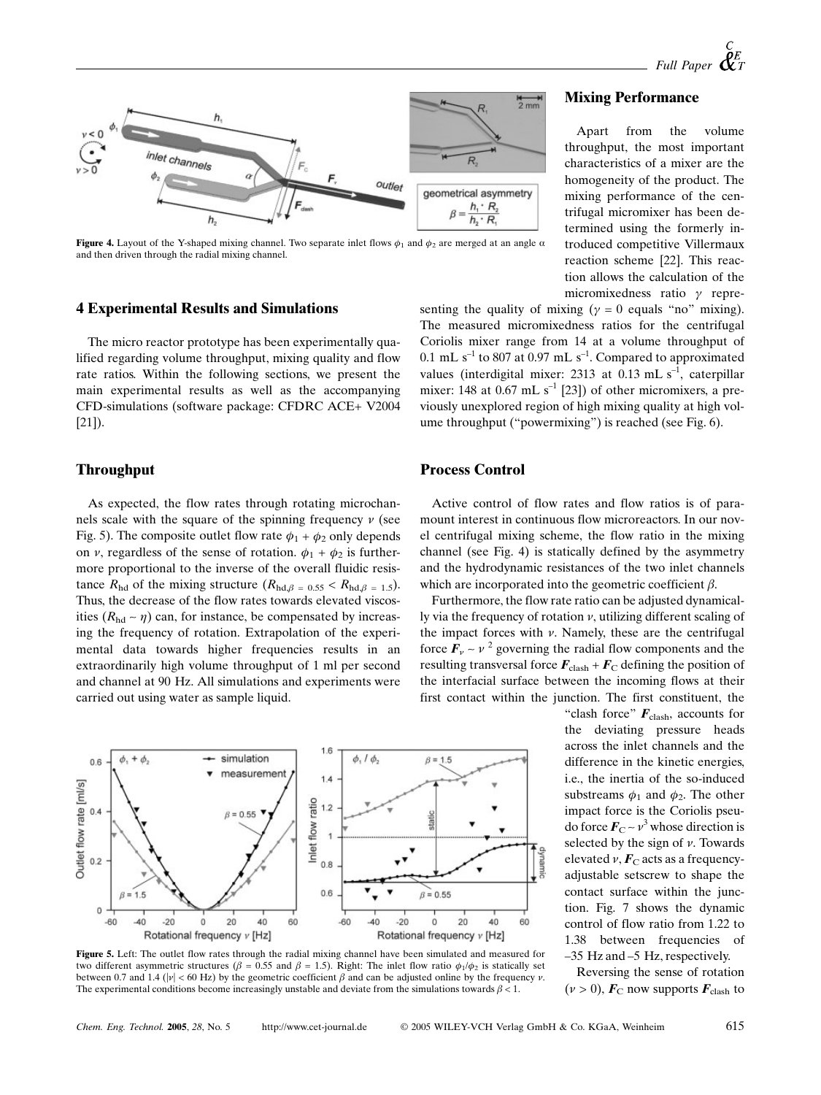

Figure 4. Layout of the Y-shaped mixing channel. Two separate inlet flows  $\phi_1$  and  $\phi_2$  are merged at an angle  $\alpha$ and then driven through the radial mixing channel.

# **4 Experimental Results and Simulations**

The micro reactor prototype has been experimentally qualified regarding volume throughput, mixing quality and flow rate ratios. Within the following sections, we present the main experimental results as well as the accompanying CFD-simulations (software package: CFDRC ACE+ V2004  $[21]$ ).

## **Throughput**

As expected, the flow rates through rotating microchannels scale with the square of the spinning frequency  $\nu$  (see Fig. 5). The composite outlet flow rate  $\phi_1 + \phi_2$  only depends on v, regardless of the sense of rotation.  $\phi_1 + \phi_2$  is furthermore proportional to the inverse of the overall fluidic resistance  $R_{\text{hd}}$  of the mixing structure  $(R_{\text{hd},\beta} = 0.55 \le R_{\text{hd},\beta} = 1.5)$ . Thus, the decrease of the flow rates towards elevated viscosities ( $R_{\text{hd}} \sim \eta$ ) can, for instance, be compensated by increasing the frequency of rotation. Extrapolation of the experimental data towards higher frequencies results in an extraordinarily high volume throughput of 1 ml per second and channel at 90 Hz. All simulations and experiments were carried out using water as sample liquid.



Figure 5. Left: The outlet flow rates through the radial mixing channel have been simulated and measured for two different asymmetric structures ( $\beta = 0.55$  and  $\beta = 1.5$ ). Right: The inlet flow ratio  $\phi_1/\phi_2$  is statically set between 0.7 and 1.4 ( $|\nu|$  < 60 Hz) by the geometric coefficient  $\beta$  and can be adjusted online by the frequency v. The experimental conditions become increasingly unstable and deviate from the simulations towards  $\beta < 1$ .

#### **Mixing Performance**

from the volume Apart throughput, the most important characteristics of a mixer are the homogeneity of the product. The mixing performance of the centrifugal micromixer has been determined using the formerly introduced competitive Villermaux reaction scheme [22]. This reaction allows the calculation of the micromixedness ratio  $\gamma$  repre-

senting the quality of mixing ( $\gamma = 0$  equals "no" mixing). The measured micromixedness ratios for the centrifugal Coriolis mixer range from 14 at a volume throughput of 0.1 mL  $s^{-1}$  to 807 at 0.97 mL  $s^{-1}$ . Compared to approximated values (interdigital mixer: 2313 at  $0.13$  mL s<sup>-1</sup>, caterpillar mixer: 148 at 0.67 mL  $s^{-1}$  [23]) of other micromixers, a previously unexplored region of high mixing quality at high volume throughput ("powermixing") is reached (see Fig. 6).

# **Process Control**

Active control of flow rates and flow ratios is of paramount interest in continuous flow microreactors. In our novel centrifugal mixing scheme, the flow ratio in the mixing channel (see Fig. 4) is statically defined by the asymmetry and the hydrodynamic resistances of the two inlet channels which are incorporated into the geometric coefficient  $\beta$ .

Furthermore, the flow rate ratio can be adjusted dynamically via the frequency of rotation  $\nu$ , utilizing different scaling of the impact forces with  $\nu$ . Namely, these are the centrifugal force  $\mathbf{F}_{\nu} \sim \nu^2$  governing the radial flow components and the resulting transversal force  $\mathbf{F}_{\text{clash}} + \mathbf{F}_{\text{C}}$  defining the position of the interfacial surface between the incoming flows at their first contact within the junction. The first constituent, the

"clash force"  $\mathbf{F}_{\text{clash}}$ , accounts for deviating pressure heads the across the inlet channels and the difference in the kinetic energies, i.e., the inertia of the so-induced substreams  $\phi_1$  and  $\phi_2$ . The other impact force is the Coriolis pseudo force  $\mathbf{F}_{C} \sim v^3$  whose direction is selected by the sign of  $\nu$ . Towards elevated  $\nu$ ,  $\vec{F}_C$  acts as a frequencyadjustable setscrew to shape the contact surface within the junction. Fig. 7 shows the dynamic control of flow ratio from 1.22 to 1.38 between frequencies of  $-35$  Hz and  $-5$  Hz, respectively.

Reversing the sense of rotation  $(\nu > 0)$ ,  $\mathbf{F}_{\rm C}$  now supports  $\mathbf{F}_{\rm clash}$  to

http://www.cet-journal.de

© 2005 WILEY-VCH Verlag GmbH & Co. KGaA, Weinheim